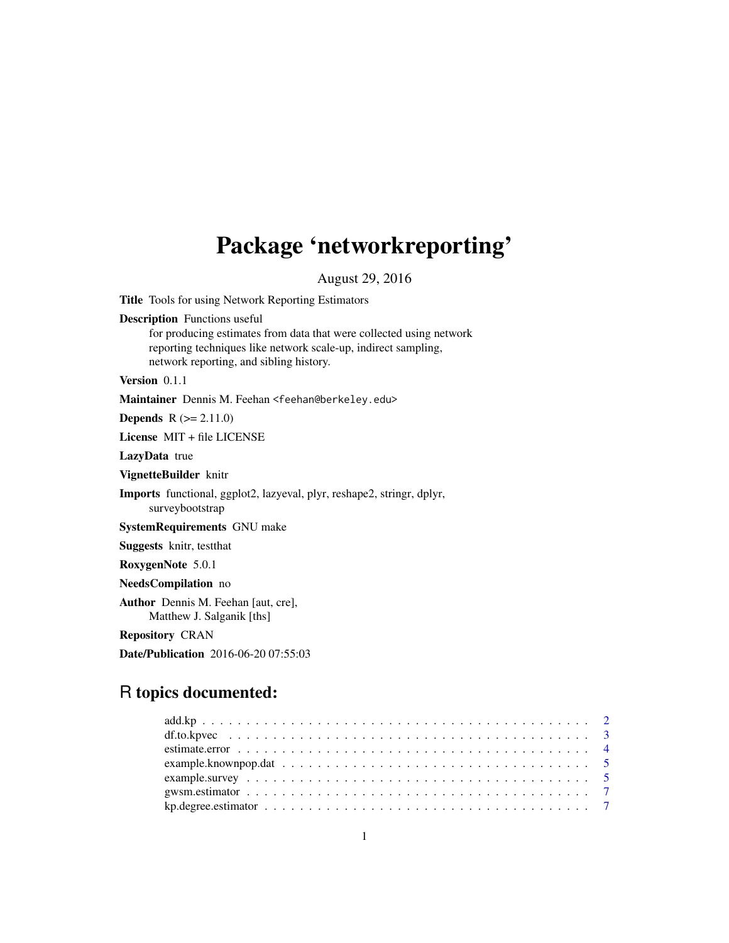# Package 'networkreporting'

August 29, 2016

Title Tools for using Network Reporting Estimators

Description Functions useful

for producing estimates from data that were collected using network reporting techniques like network scale-up, indirect sampling, network reporting, and sibling history.

Version 0.1.1

Maintainer Dennis M. Feehan <feehan@berkeley.edu>

**Depends**  $R (= 2.11.0)$ 

License MIT + file LICENSE

LazyData true

VignetteBuilder knitr

Imports functional, ggplot2, lazyeval, plyr, reshape2, stringr, dplyr, surveybootstrap

SystemRequirements GNU make

Suggests knitr, testthat

RoxygenNote 5.0.1

NeedsCompilation no

Author Dennis M. Feehan [aut, cre], Matthew J. Salganik [ths]

Repository CRAN

Date/Publication 2016-06-20 07:55:03

# R topics documented: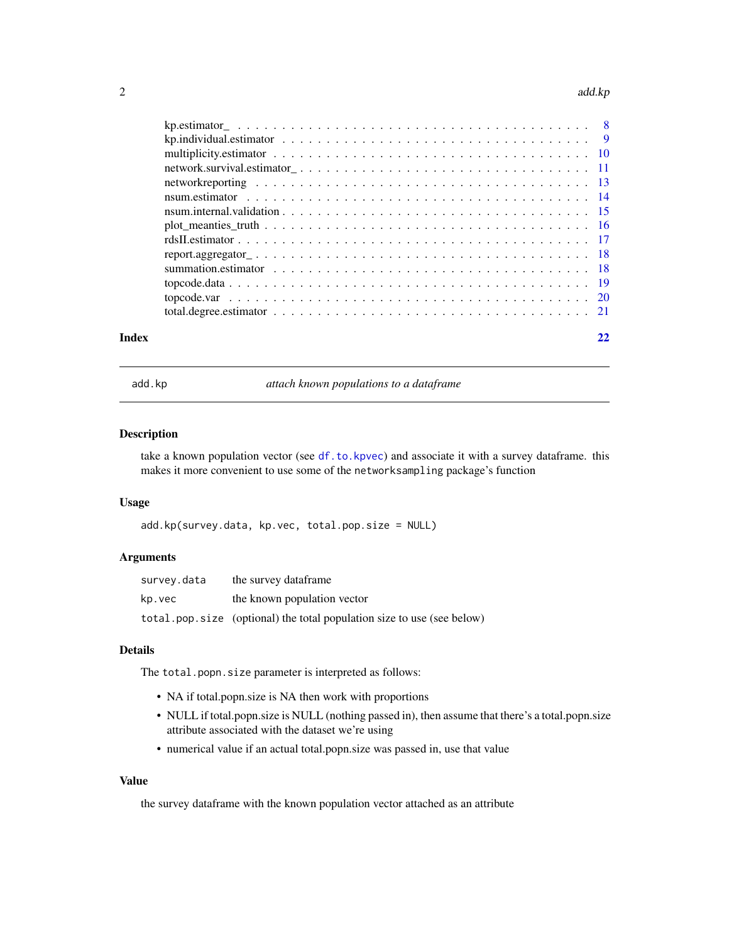#### <span id="page-1-0"></span>2 add.kp

<span id="page-1-1"></span>add.kp *attach known populations to a dataframe*

#### Description

take a known population vector (see [df.to.kpvec](#page-2-1)) and associate it with a survey dataframe. this makes it more convenient to use some of the networksampling package's function

#### Usage

```
add.kp(survey.data, kp.vec, total.pop.size = NULL)
```
# Arguments

| survey.data | the survey dataframe                                                   |
|-------------|------------------------------------------------------------------------|
| kp.vec      | the known population vector                                            |
|             | total.pop.size (optional) the total population size to use (see below) |

#### Details

The total.popn.size parameter is interpreted as follows:

- NA if total.popn.size is NA then work with proportions
- NULL if total.popn.size is NULL (nothing passed in), then assume that there's a total.popn.size attribute associated with the dataset we're using
- numerical value if an actual total.popn.size was passed in, use that value

# Value

the survey dataframe with the known population vector attached as an attribute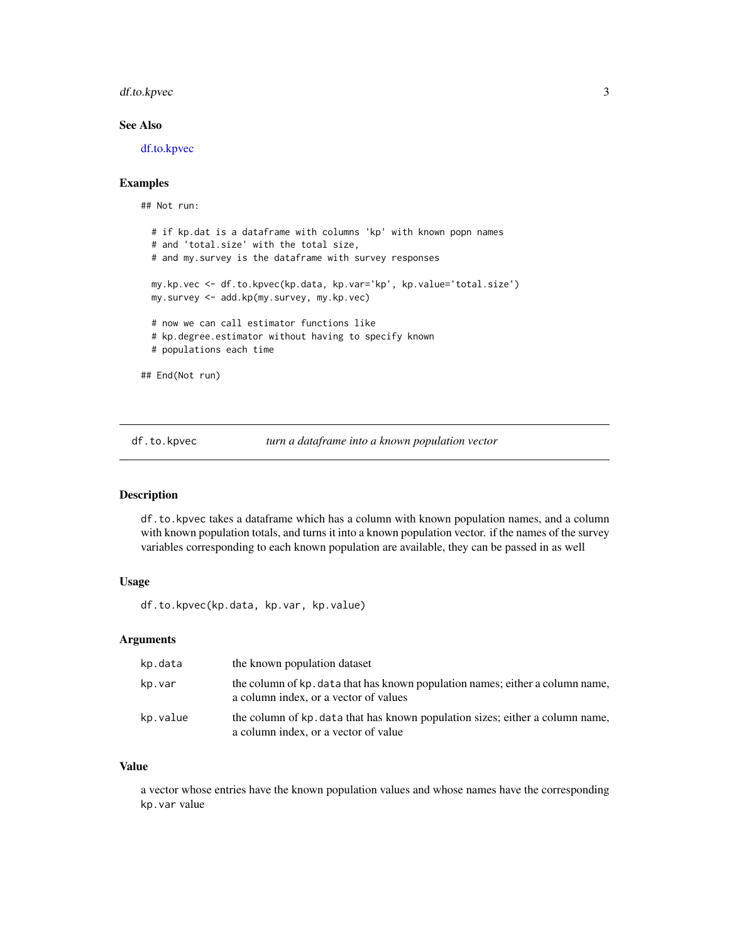### <span id="page-2-0"></span>df.to.kpvec 3

# See Also

[df.to.kpvec](#page-2-1)

#### Examples

```
## Not run:
 # if kp.dat is a dataframe with columns 'kp' with known popn names
 # and 'total.size' with the total size,
 # and my.survey is the dataframe with survey responses
 my.kp.vec <- df.to.kpvec(kp.data, kp.var='kp', kp.value='total.size')
 my.survey <- add.kp(my.survey, my.kp.vec)
 # now we can call estimator functions like
 # kp.degree.estimator without having to specify known
 # populations each time
## End(Not run)
```
<span id="page-2-1"></span>df.to.kpvec *turn a dataframe into a known population vector*

#### Description

df.to.kpvec takes a dataframe which has a column with known population names, and a column with known population totals, and turns it into a known population vector. if the names of the survey variables corresponding to each known population are available, they can be passed in as well

#### Usage

df.to.kpvec(kp.data, kp.var, kp.value)

#### Arguments

| kp.data  | the known population dataset                                                                                           |
|----------|------------------------------------------------------------------------------------------------------------------------|
| kp.var   | the column of kp. data that has known population names; either a column name,<br>a column index, or a vector of values |
| kp.value | the column of kp. data that has known population sizes; either a column name,<br>a column index, or a vector of value  |

#### Value

a vector whose entries have the known population values and whose names have the corresponding kp.var value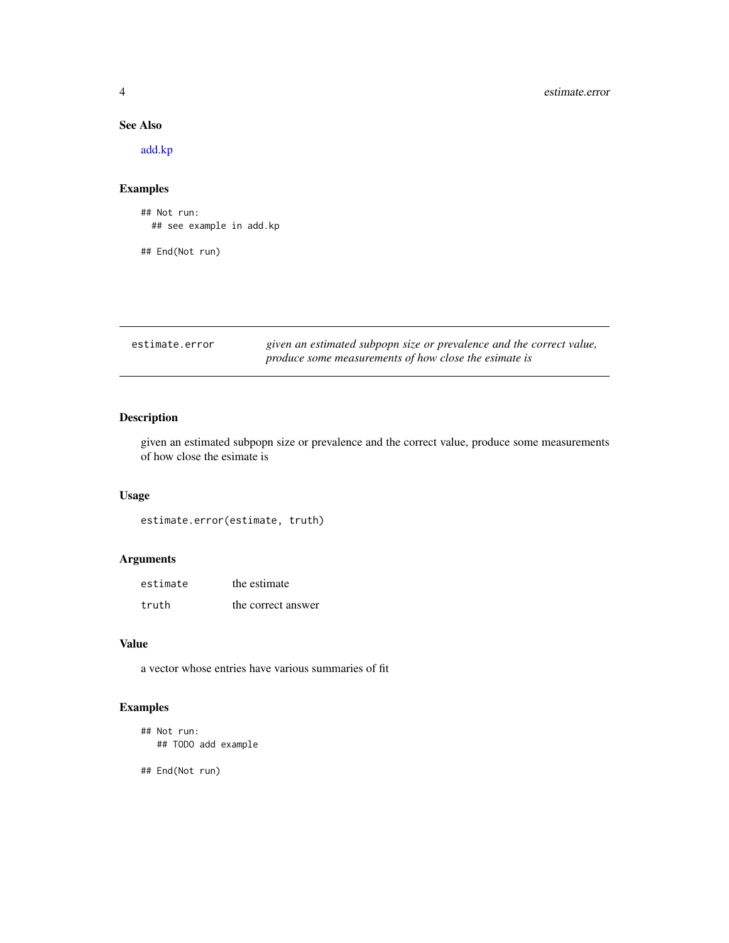### See Also

[add.kp](#page-1-1)

### Examples

## Not run: ## see example in add.kp

## End(Not run)

estimate.error *given an estimated subpopn size or prevalence and the correct value, produce some measurements of how close the esimate is*

### Description

given an estimated subpopn size or prevalence and the correct value, produce some measurements of how close the esimate is

#### Usage

estimate.error(estimate, truth)

#### Arguments

| estimate | the estimate       |
|----------|--------------------|
| truth    | the correct answer |

#### Value

a vector whose entries have various summaries of fit

# Examples

```
## Not run:
  ## TODO add example
```
## End(Not run)

<span id="page-3-0"></span>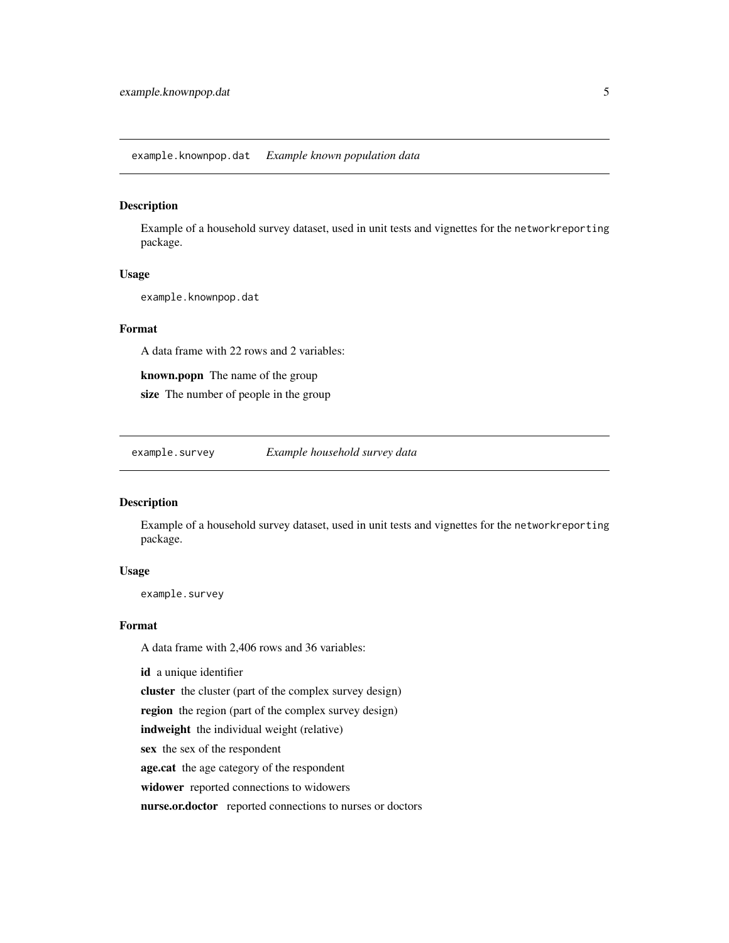#### <span id="page-4-0"></span>Description

Example of a household survey dataset, used in unit tests and vignettes for the networkreporting package.

#### Usage

example.knownpop.dat

#### Format

A data frame with 22 rows and 2 variables:

known.popn The name of the group

size The number of people in the group

example.survey *Example household survey data*

#### Description

Example of a household survey dataset, used in unit tests and vignettes for the networkreporting package.

#### Usage

example.survey

#### Format

A data frame with 2,406 rows and 36 variables:

id a unique identifier

cluster the cluster (part of the complex survey design)

region the region (part of the complex survey design)

indweight the individual weight (relative)

sex the sex of the respondent

age.cat the age category of the respondent

widower reported connections to widowers

nurse.or.doctor reported connections to nurses or doctors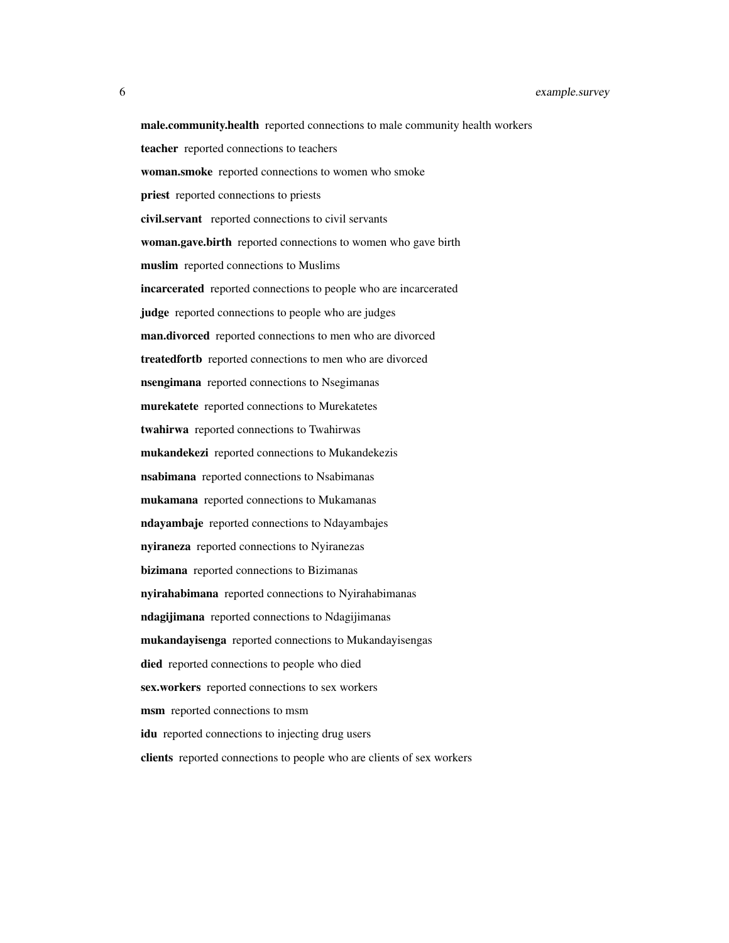male.community.health reported connections to male community health workers teacher reported connections to teachers woman.smoke reported connections to women who smoke priest reported connections to priests civil.servant reported connections to civil servants woman.gave.birth reported connections to women who gave birth muslim reported connections to Muslims incarcerated reported connections to people who are incarcerated judge reported connections to people who are judges man.divorced reported connections to men who are divorced treatedfortb reported connections to men who are divorced nsengimana reported connections to Nsegimanas murekatete reported connections to Murekatetes twahirwa reported connections to Twahirwas mukandekezi reported connections to Mukandekezis nsabimana reported connections to Nsabimanas mukamana reported connections to Mukamanas ndayambaje reported connections to Ndayambajes nyiraneza reported connections to Nyiranezas bizimana reported connections to Bizimanas nyirahabimana reported connections to Nyirahabimanas ndagijimana reported connections to Ndagijimanas mukandayisenga reported connections to Mukandayisengas died reported connections to people who died sex.workers reported connections to sex workers msm reported connections to msm idu reported connections to injecting drug users clients reported connections to people who are clients of sex workers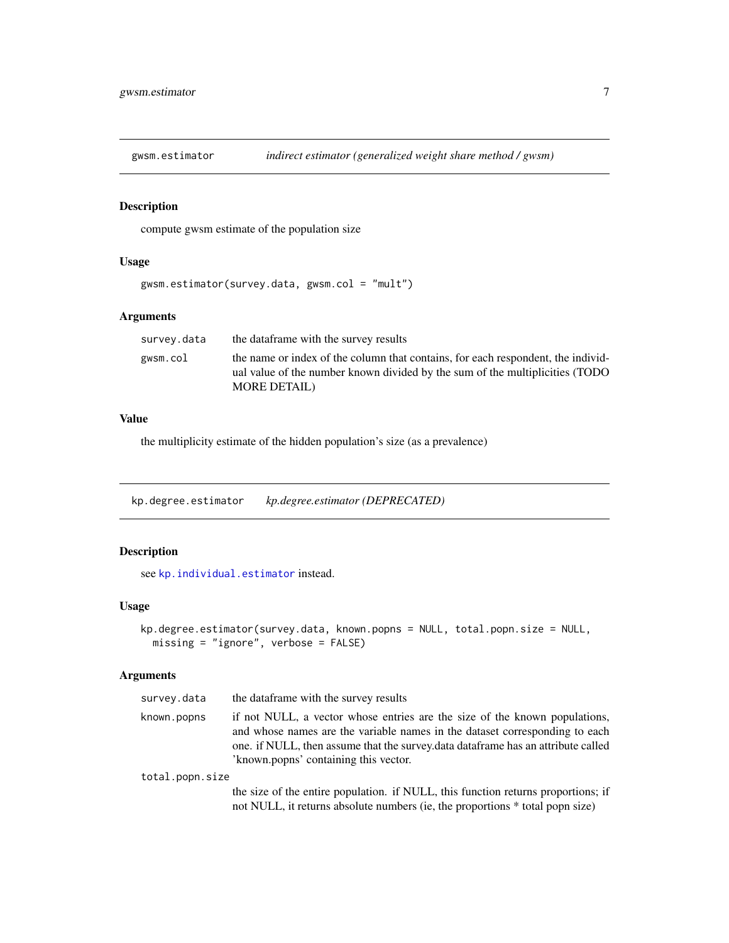<span id="page-6-0"></span>

#### Description

compute gwsm estimate of the population size

### Usage

```
gwsm.estimator(survey.data, gwsm.col = "mult")
```
#### Arguments

| survev.data | the dataframe with the survey results                                                                                                                            |
|-------------|------------------------------------------------------------------------------------------------------------------------------------------------------------------|
| gwsm.col    | the name or index of the column that contains, for each respondent, the individ-<br>ual value of the number known divided by the sum of the multiplicities (TODO |
|             | <b>MORE DETAIL</b> )                                                                                                                                             |

# Value

the multiplicity estimate of the hidden population's size (as a prevalence)

<span id="page-6-1"></span>kp.degree.estimator *kp.degree.estimator (DEPRECATED)*

#### Description

see [kp.individual.estimator](#page-8-1) instead.

#### Usage

```
kp.degree.estimator(survey.data, known.popns = NULL, total.popn.size = NULL,
 missing = "ignore", verbose = FALSE)
```
#### Arguments

| survey.data     | the data frame with the survey results                                                                                                                                                                                                                                                  |
|-----------------|-----------------------------------------------------------------------------------------------------------------------------------------------------------------------------------------------------------------------------------------------------------------------------------------|
| known.popns     | if not NULL, a vector whose entries are the size of the known populations,<br>and whose names are the variable names in the dataset corresponding to each<br>one. if NULL, then assume that the survey data data frame has an attribute called<br>'known.popns' containing this vector. |
| total.popn.size |                                                                                                                                                                                                                                                                                         |
|                 | the size of the entire population. if NULL, this function returns proportions; if<br>not NULL, it returns absolute numbers (ie, the proportions * total popn size)                                                                                                                      |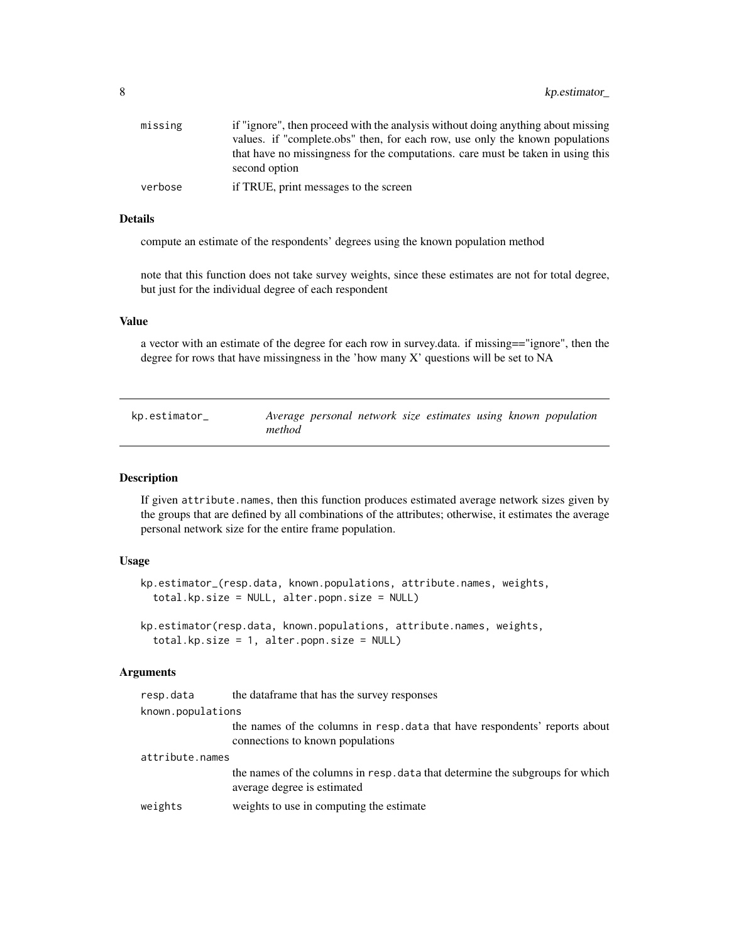<span id="page-7-0"></span>

| missing | if "ignore", then proceed with the analysis without doing anything about missing                 |
|---------|--------------------------------------------------------------------------------------------------|
|         | values. if "complete.obs" then, for each row, use only the known populations                     |
|         | that have no missingness for the computations, care must be taken in using this<br>second option |
| verbose | if TRUE, print messages to the screen                                                            |
|         |                                                                                                  |

#### Details

compute an estimate of the respondents' degrees using the known population method

note that this function does not take survey weights, since these estimates are not for total degree, but just for the individual degree of each respondent

#### Value

a vector with an estimate of the degree for each row in survey.data. if missing=="ignore", then the degree for rows that have missingness in the 'how many X' questions will be set to NA

<span id="page-7-1"></span>

| kp.estimator_ |        |  |  |  | Average personal network size estimates using known population |
|---------------|--------|--|--|--|----------------------------------------------------------------|
|               | method |  |  |  |                                                                |

#### Description

If given attribute.names, then this function produces estimated average network sizes given by the groups that are defined by all combinations of the attributes; otherwise, it estimates the average personal network size for the entire frame population.

#### Usage

```
kp.estimator_(resp.data, known.populations, attribute.names, weights,
  total.kp.size = NULL, alter.popn.size = NULL)
```
kp.estimator(resp.data, known.populations, attribute.names, weights, total.kp.size = 1, alter.popn.size = NULL)

#### Arguments

| resp.data         | the data frame that has the survey responses                                                                    |
|-------------------|-----------------------------------------------------------------------------------------------------------------|
| known.populations |                                                                                                                 |
|                   | the names of the columns in resp. data that have respondents' reports about<br>connections to known populations |
| attribute.names   |                                                                                                                 |
|                   | the names of the columns in resp. data that determine the subgroups for which<br>average degree is estimated    |
| weights           | weights to use in computing the estimate                                                                        |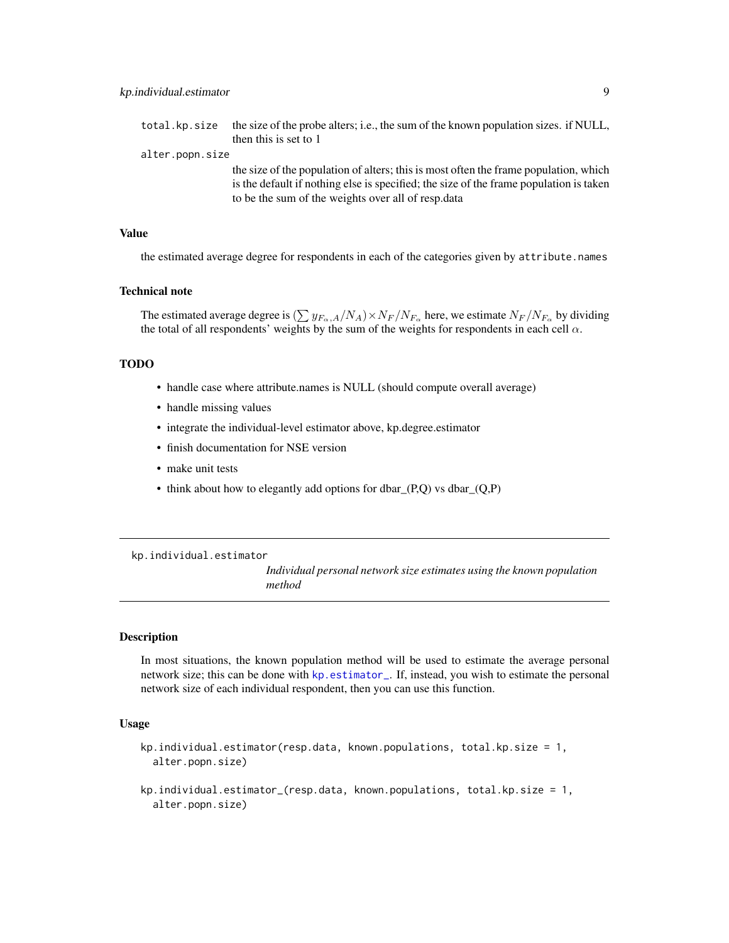<span id="page-8-0"></span>

| total.kp.size   | the size of the probe alters; i.e., the sum of the known population sizes. if NULL,    |
|-----------------|----------------------------------------------------------------------------------------|
|                 | then this is set to 1                                                                  |
| alter.popn.size |                                                                                        |
|                 | the size of the population of alters; this is most often the frame population, which   |
|                 | is the default if nothing else is specified; the size of the frame population is taken |
|                 | to be the sum of the weights over all of resp. data                                    |

#### Value

the estimated average degree for respondents in each of the categories given by attribute.names

#### Technical note

The estimated average degree is  $(\sum y_{F_\alpha,A}/N_A) \times N_F/N_{F_\alpha}$  here, we estimate  $N_F/N_{F_\alpha}$  by dividing the total of all respondents' weights by the sum of the weights for respondents in each cell  $\alpha$ .

#### TODO

- handle case where attribute.names is NULL (should compute overall average)
- handle missing values
- integrate the individual-level estimator above, kp.degree.estimator
- finish documentation for NSE version
- make unit tests
- think about how to elegantly add options for dbar $(P,Q)$  vs dbar $(Q,P)$

<span id="page-8-1"></span>kp.individual.estimator

*Individual personal network size estimates using the known population method*

#### Description

In most situations, the known population method will be used to estimate the average personal network size; this can be done with [kp.estimator\\_](#page-7-1). If, instead, you wish to estimate the personal network size of each individual respondent, then you can use this function.

#### Usage

```
kp.individual.estimator(resp.data, known.populations, total.kp.size = 1,
  alter.popn.size)
```

```
kp.individual.estimator_(resp.data, known.populations, total.kp.size = 1,
  alter.popn.size)
```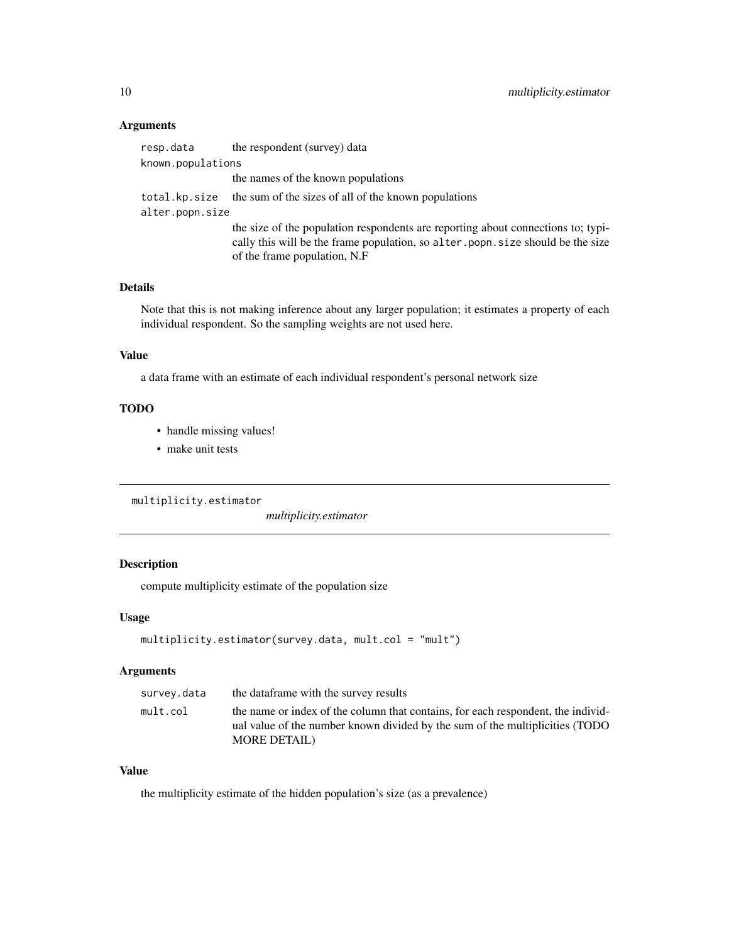#### <span id="page-9-0"></span>Arguments

resp.data the respondent (survey) data known.populations the names of the known populations total.kp.size the sum of the sizes of all of the known populations alter.popn.size the size of the population respondents are reporting about connections to; typically this will be the frame population, so alter.popn.size should be the size of the frame population, N.F

# Details

Note that this is not making inference about any larger population; it estimates a property of each individual respondent. So the sampling weights are not used here.

#### Value

a data frame with an estimate of each individual respondent's personal network size

#### TODO

- handle missing values!
- make unit tests

multiplicity.estimator

*multiplicity.estimator*

# Description

compute multiplicity estimate of the population size

#### Usage

```
multiplicity.estimator(survey.data, mult.col = "mult")
```
#### Arguments

| survey.data | the data frame with the survey results                                                                                                                                                   |
|-------------|------------------------------------------------------------------------------------------------------------------------------------------------------------------------------------------|
| mult.col    | the name or index of the column that contains, for each respondent, the individ-<br>ual value of the number known divided by the sum of the multiplicities (TODO<br><b>MORE DETAIL</b> ) |
|             |                                                                                                                                                                                          |

#### Value

the multiplicity estimate of the hidden population's size (as a prevalence)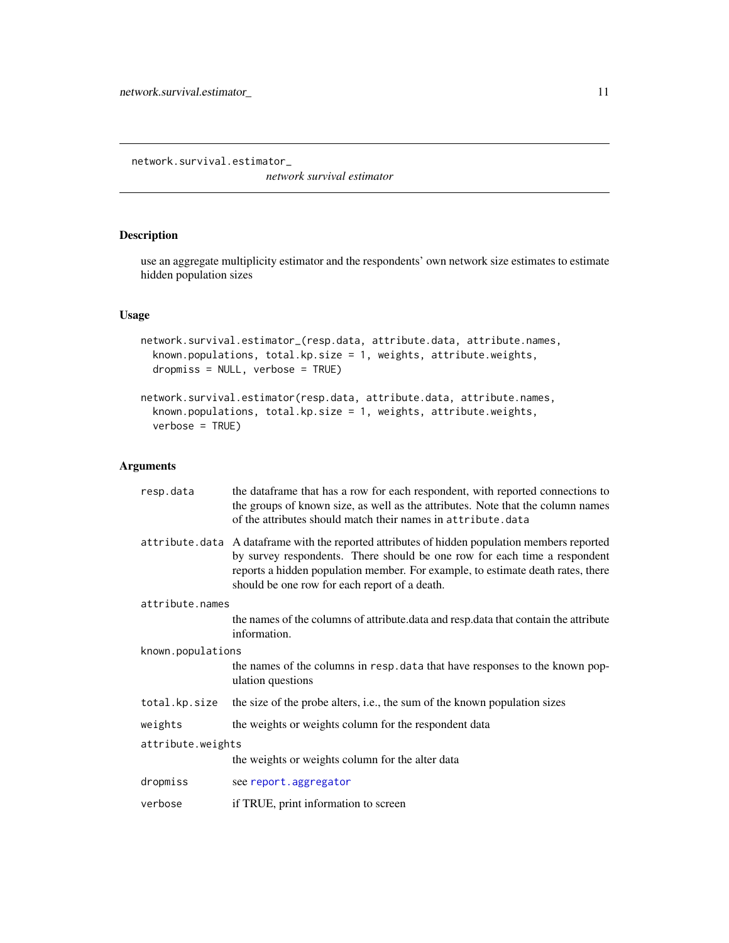<span id="page-10-0"></span>network.survival.estimator\_

*network survival estimator*

### Description

use an aggregate multiplicity estimator and the respondents' own network size estimates to estimate hidden population sizes

#### Usage

```
network.survival.estimator_(resp.data, attribute.data, attribute.names,
 known.populations, total.kp.size = 1, weights, attribute.weights,
  dropmiss = NULL, verbose = TRUE)
network.survival.estimator(resp.data, attribute.data, attribute.names,
  known.populations, total.kp.size = 1, weights, attribute.weights,
```
#### Arguments

verbose = TRUE)

| resp.data         | the dataframe that has a row for each respondent, with reported connections to<br>the groups of known size, as well as the attributes. Note that the column names<br>of the attributes should match their names in attribute.data                                                                                |
|-------------------|------------------------------------------------------------------------------------------------------------------------------------------------------------------------------------------------------------------------------------------------------------------------------------------------------------------|
|                   | attribute. data A data frame with the reported attributes of hidden population members reported<br>by survey respondents. There should be one row for each time a respondent<br>reports a hidden population member. For example, to estimate death rates, there<br>should be one row for each report of a death. |
| attribute.names   |                                                                                                                                                                                                                                                                                                                  |
|                   | the names of the columns of attribute data and resp. data that contain the attribute<br>information.                                                                                                                                                                                                             |
| known.populations |                                                                                                                                                                                                                                                                                                                  |
|                   | the names of the columns in resp. data that have responses to the known pop-<br>ulation questions                                                                                                                                                                                                                |
| total.kp.size     | the size of the probe alters, i.e., the sum of the known population sizes                                                                                                                                                                                                                                        |
| weights           | the weights or weights column for the respondent data                                                                                                                                                                                                                                                            |
| attribute.weights |                                                                                                                                                                                                                                                                                                                  |
|                   | the weights or weights column for the alter data                                                                                                                                                                                                                                                                 |
| dropmiss          | see report.aggregator                                                                                                                                                                                                                                                                                            |
| verbose           | if TRUE, print information to screen                                                                                                                                                                                                                                                                             |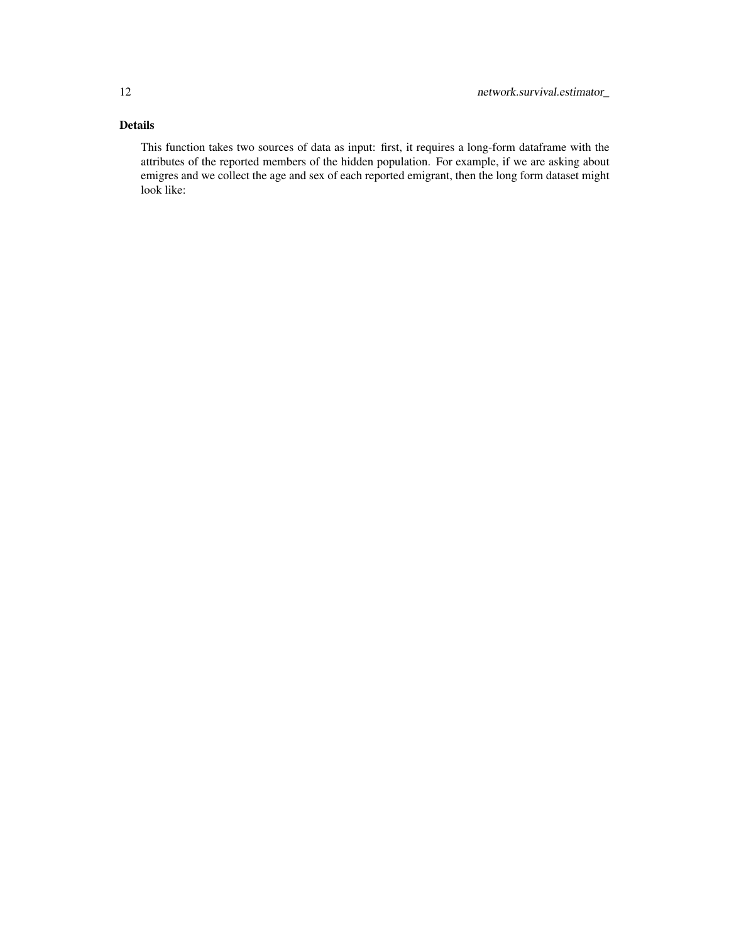# Details

This function takes two sources of data as input: first, it requires a long-form dataframe with the attributes of the reported members of the hidden population. For example, if we are asking about emigres and we collect the age and sex of each reported emigrant, then the long form dataset might look like: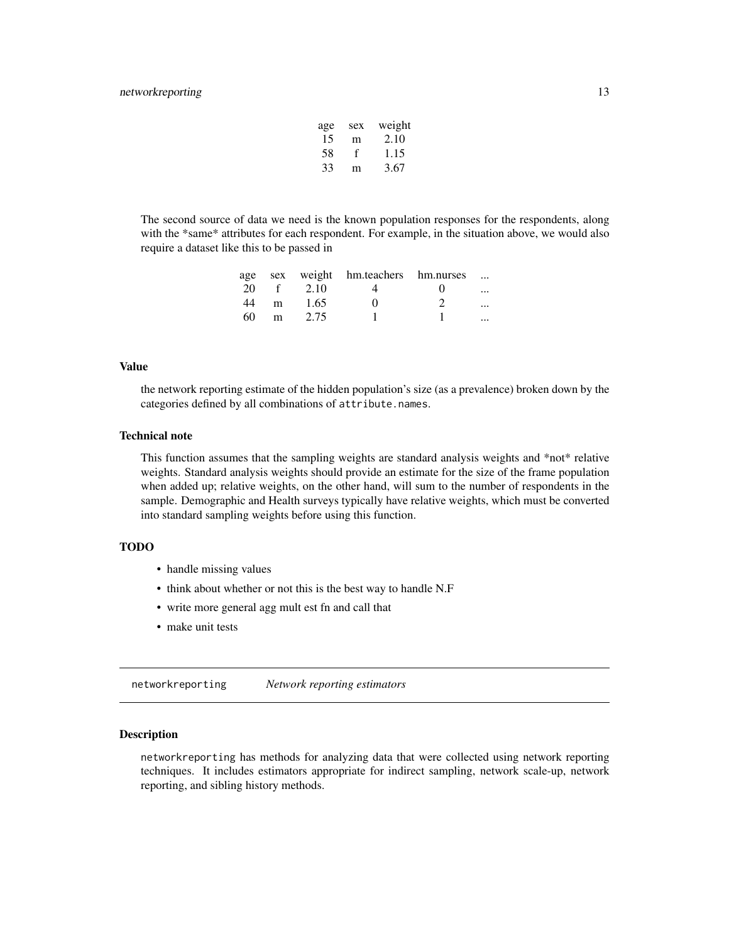#### <span id="page-12-0"></span>networkreporting 13

| age | sex | weight |
|-----|-----|--------|
| 15  | m   | 2.10   |
| 58  | f   | 1.15   |
| 33  | m   | 3.67   |

The second source of data we need is the known population responses for the respondents, along with the \*same\* attributes for each respondent. For example, in the situation above, we would also require a dataset like this to be passed in

|    |      |      | age sex weight hm.teachers hm.nurses |                   |          |
|----|------|------|--------------------------------------|-------------------|----------|
| 20 | $-f$ | 2.10 |                                      | $\mathbf{\Omega}$ | $\cdots$ |
| 44 | m    | 1.65 |                                      |                   | $\cdots$ |
| 60 | m    | 2.75 |                                      |                   | $\cdots$ |

#### Value

the network reporting estimate of the hidden population's size (as a prevalence) broken down by the categories defined by all combinations of attribute.names.

#### Technical note

This function assumes that the sampling weights are standard analysis weights and \*not\* relative weights. Standard analysis weights should provide an estimate for the size of the frame population when added up; relative weights, on the other hand, will sum to the number of respondents in the sample. Demographic and Health surveys typically have relative weights, which must be converted into standard sampling weights before using this function.

#### TODO

- handle missing values
- think about whether or not this is the best way to handle N.F
- write more general agg mult est fn and call that
- make unit tests

networkreporting *Network reporting estimators*

#### **Description**

networkreporting has methods for analyzing data that were collected using network reporting techniques. It includes estimators appropriate for indirect sampling, network scale-up, network reporting, and sibling history methods.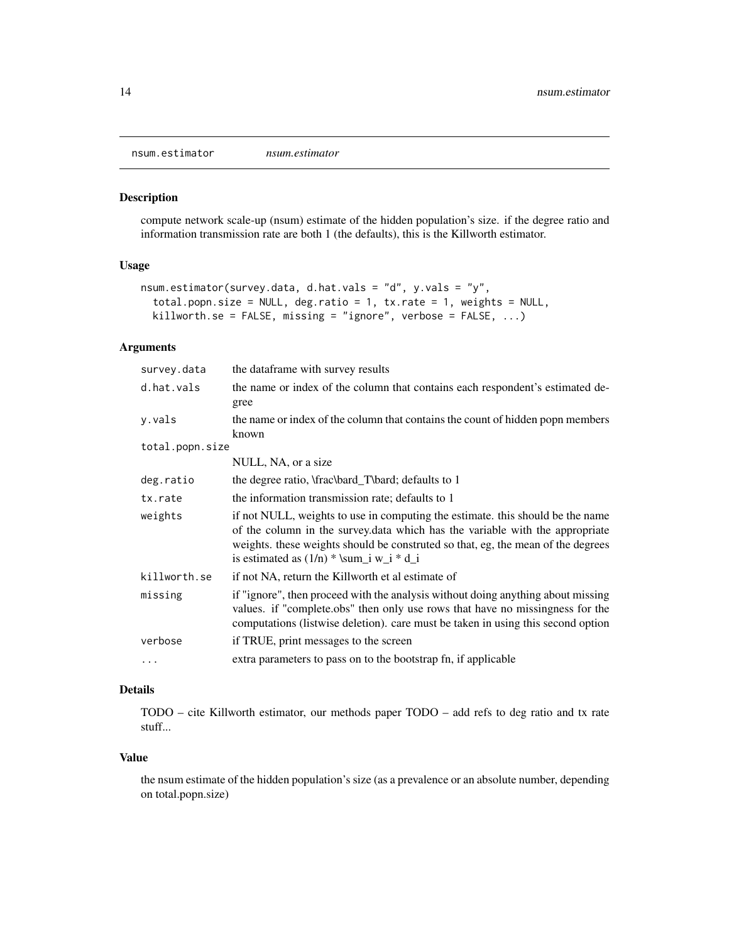<span id="page-13-0"></span>nsum.estimator *nsum.estimator*

#### Description

compute network scale-up (nsum) estimate of the hidden population's size. if the degree ratio and information transmission rate are both 1 (the defaults), this is the Killworth estimator.

#### Usage

```
nsum.estimator(survey.data, d.hat.vals = "d", y.vals = "y",
  total.popn.size = NULL, deg.ratio = 1, tx.rate = 1, weights = NULL,
 killworth.se = FALSE, missing = "ignore", verbose = FALSE, \dots)
```
### Arguments

| survey.data     | the dataframe with survey results                                                                                                                                                                                                                                                                |
|-----------------|--------------------------------------------------------------------------------------------------------------------------------------------------------------------------------------------------------------------------------------------------------------------------------------------------|
| d.hat.vals      | the name or index of the column that contains each respondent's estimated de-                                                                                                                                                                                                                    |
|                 | gree                                                                                                                                                                                                                                                                                             |
| y.vals          | the name or index of the column that contains the count of hidden popn members<br>known                                                                                                                                                                                                          |
| total.popn.size |                                                                                                                                                                                                                                                                                                  |
|                 | NULL, NA, or a size                                                                                                                                                                                                                                                                              |
| deg.ratio       | the degree ratio, \frac\bard_T\bard; defaults to 1                                                                                                                                                                                                                                               |
| tx.rate         | the information transmission rate; defaults to 1                                                                                                                                                                                                                                                 |
| weights         | if not NULL, weights to use in computing the estimate. this should be the name<br>of the column in the survey.data which has the variable with the appropriate<br>weights, these weights should be construted so that, eg, the mean of the degrees<br>is estimated as $(1/n)$ * \sum_i w_i * d_i |
| killworth.se    | if not NA, return the Killworth et al estimate of                                                                                                                                                                                                                                                |
| missing         | if "ignore", then proceed with the analysis without doing anything about missing<br>values. if "complete.obs" then only use rows that have no missingness for the<br>computations (listwise deletion). care must be taken in using this second option                                            |
| verbose         | if TRUE, print messages to the screen                                                                                                                                                                                                                                                            |
| .               | extra parameters to pass on to the bootstrap fn, if applicable                                                                                                                                                                                                                                   |
|                 |                                                                                                                                                                                                                                                                                                  |

# Details

TODO – cite Killworth estimator, our methods paper TODO – add refs to deg ratio and tx rate stuff...

#### Value

the nsum estimate of the hidden population's size (as a prevalence or an absolute number, depending on total.popn.size)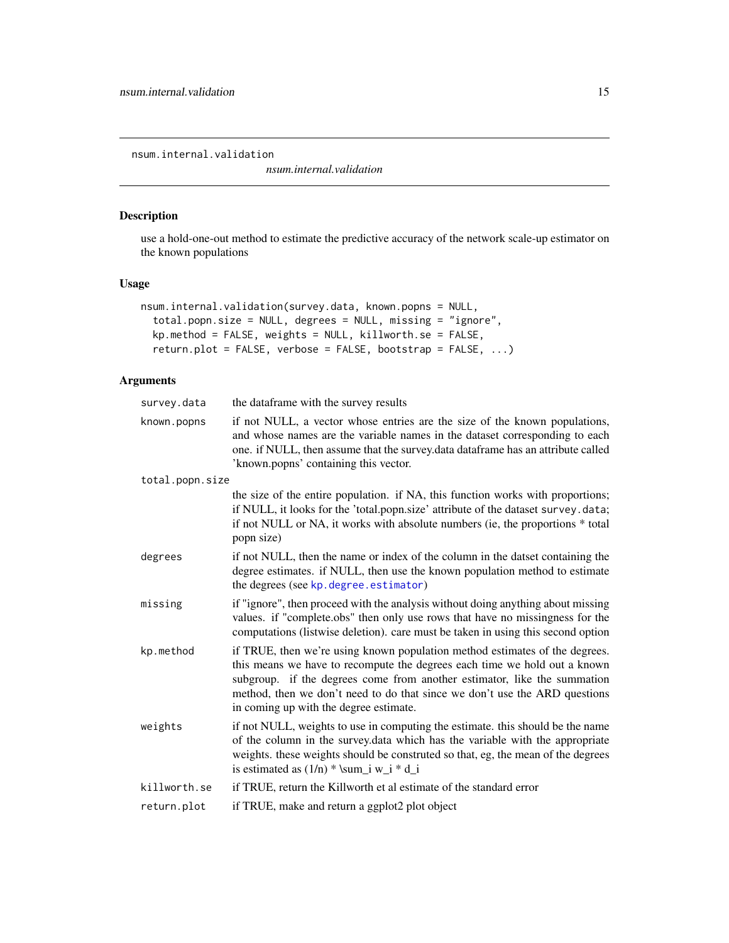<span id="page-14-0"></span>nsum.internal.validation

*nsum.internal.validation*

# Description

use a hold-one-out method to estimate the predictive accuracy of the network scale-up estimator on the known populations

#### Usage

```
nsum.internal.validation(survey.data, known.popns = NULL,
  total.popn.size = NULL, degrees = NULL, missing = "ignore",
  kp.method = FALSE, weights = NULL, killworth.se = FALSE,
  return.plot = FALSE, verbose = FALSE, bootstrap = FALSE, ...)
```
# Arguments

| survey.data     | the dataframe with the survey results                                                                                                                                                                                                                                                                                                                        |
|-----------------|--------------------------------------------------------------------------------------------------------------------------------------------------------------------------------------------------------------------------------------------------------------------------------------------------------------------------------------------------------------|
| known.popns     | if not NULL, a vector whose entries are the size of the known populations,<br>and whose names are the variable names in the dataset corresponding to each<br>one. if NULL, then assume that the survey.data dataframe has an attribute called<br>'known.popns' containing this vector.                                                                       |
| total.popn.size |                                                                                                                                                                                                                                                                                                                                                              |
|                 | the size of the entire population. if NA, this function works with proportions;<br>if NULL, it looks for the 'total.popn.size' attribute of the dataset survey.data;<br>if not NULL or NA, it works with absolute numbers (ie, the proportions * total<br>popn size)                                                                                         |
| degrees         | if not NULL, then the name or index of the column in the datset containing the<br>degree estimates. if NULL, then use the known population method to estimate<br>the degrees (see kp. degree. estimator)                                                                                                                                                     |
| missing         | if "ignore", then proceed with the analysis without doing anything about missing<br>values. if "complete.obs" then only use rows that have no missingness for the<br>computations (listwise deletion). care must be taken in using this second option                                                                                                        |
| kp.method       | if TRUE, then we're using known population method estimates of the degrees.<br>this means we have to recompute the degrees each time we hold out a known<br>subgroup. if the degrees come from another estimator, like the summation<br>method, then we don't need to do that since we don't use the ARD questions<br>in coming up with the degree estimate. |
| weights         | if not NULL, weights to use in computing the estimate. this should be the name<br>of the column in the survey.data which has the variable with the appropriate<br>weights. these weights should be construted so that, eg, the mean of the degrees<br>is estimated as $(1/n)$ * \sum i w i * d i                                                             |
| killworth.se    | if TRUE, return the Killworth et al estimate of the standard error                                                                                                                                                                                                                                                                                           |
| return.plot     | if TRUE, make and return a ggplot2 plot object                                                                                                                                                                                                                                                                                                               |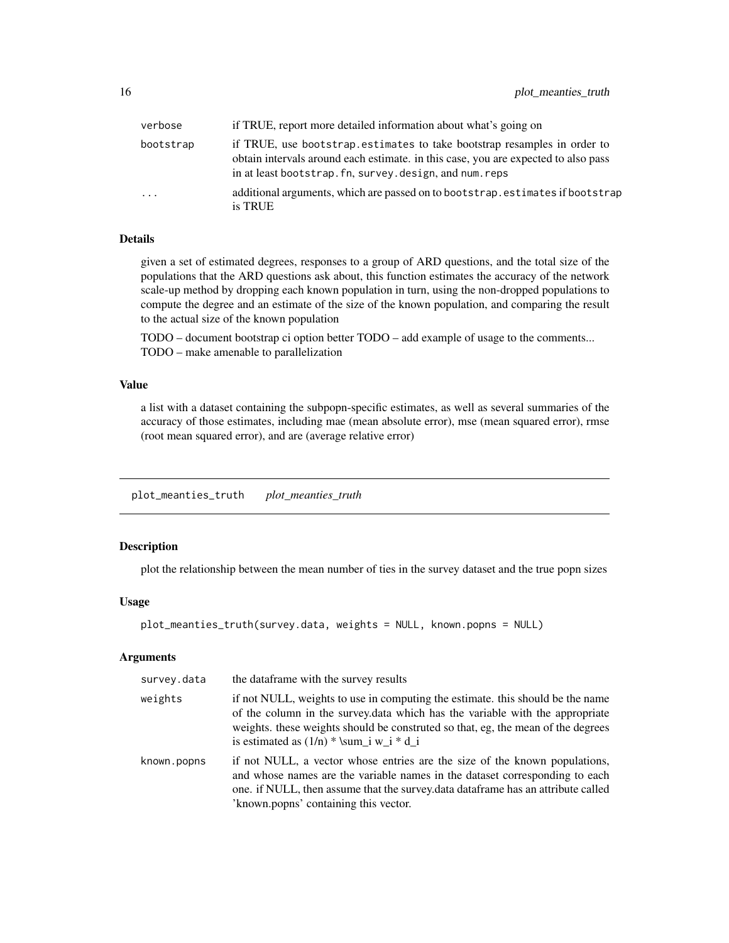<span id="page-15-0"></span>

| verbose    | if TRUE, report more detailed information about what's going on                                                                                                                                                            |
|------------|----------------------------------------------------------------------------------------------------------------------------------------------------------------------------------------------------------------------------|
| bootstrap  | if TRUE, use bootstrap estimates to take bootstrap resamples in order to<br>obtain intervals around each estimate, in this case, you are expected to also pass<br>in at least bootstrap. fn, survey. design, and num. reps |
| $\ddots$ . | additional arguments, which are passed on to bootstrap. estimates if bootstrap<br>is TRUE                                                                                                                                  |

#### Details

given a set of estimated degrees, responses to a group of ARD questions, and the total size of the populations that the ARD questions ask about, this function estimates the accuracy of the network scale-up method by dropping each known population in turn, using the non-dropped populations to compute the degree and an estimate of the size of the known population, and comparing the result to the actual size of the known population

TODO – document bootstrap ci option better TODO – add example of usage to the comments... TODO – make amenable to parallelization

#### Value

a list with a dataset containing the subpopn-specific estimates, as well as several summaries of the accuracy of those estimates, including mae (mean absolute error), mse (mean squared error), rmse (root mean squared error), and are (average relative error)

plot\_meanties\_truth *plot\_meanties\_truth*

#### Description

plot the relationship between the mean number of ties in the survey dataset and the true popn sizes

#### Usage

```
plot_meanties_truth(survey.data, weights = NULL, known.popns = NULL)
```
#### Arguments

| survey.data | the dataframe with the survey results                                                                                                                                                                                                                                                            |
|-------------|--------------------------------------------------------------------------------------------------------------------------------------------------------------------------------------------------------------------------------------------------------------------------------------------------|
| weights     | if not NULL, weights to use in computing the estimate, this should be the name<br>of the column in the survey data which has the variable with the appropriate<br>weights, these weights should be construted so that, eg, the mean of the degrees<br>is estimated as $(1/n)$ * \sum i w i * d i |
| known.popns | if not NULL, a vector whose entries are the size of the known populations,<br>and whose names are the variable names in the dataset corresponding to each<br>one. if NULL, then assume that the survey data dataframe has an attribute called<br>'known.popns' containing this vector.           |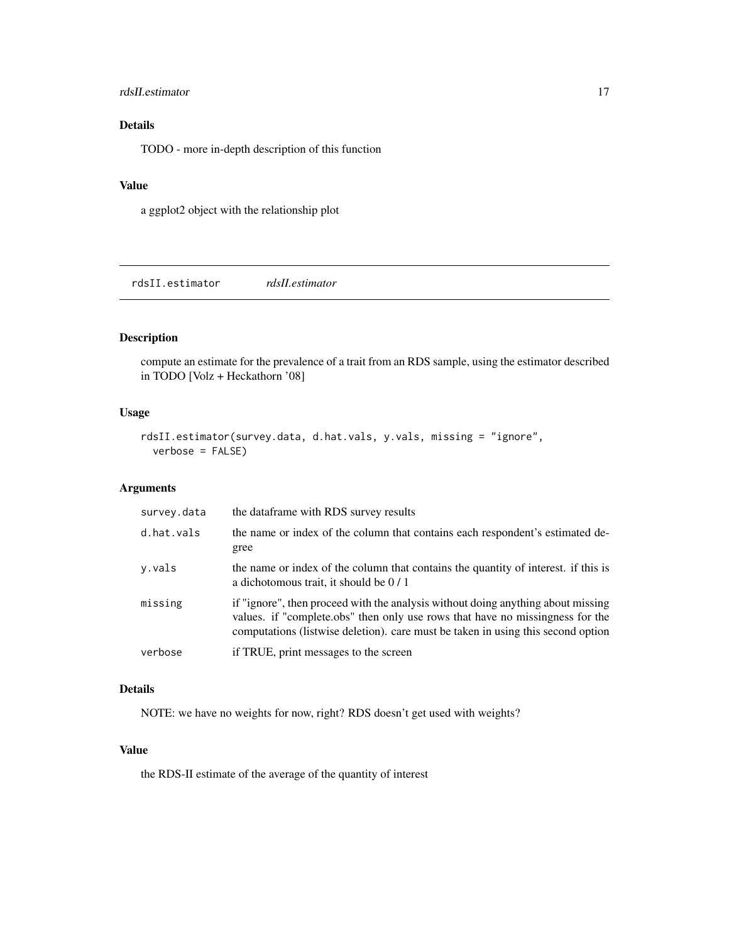#### <span id="page-16-0"></span>rdsII.estimator 17

# Details

TODO - more in-depth description of this function

#### Value

a ggplot2 object with the relationship plot

rdsII.estimator *rdsII.estimator*

### Description

compute an estimate for the prevalence of a trait from an RDS sample, using the estimator described in TODO [Volz + Heckathorn '08]

# Usage

```
rdsII.estimator(survey.data, d.hat.vals, y.vals, missing = "ignore",
 verbose = FALSE)
```
### Arguments

| survey.data | the dataframe with RDS survey results                                                                                                                                                                                                                 |
|-------------|-------------------------------------------------------------------------------------------------------------------------------------------------------------------------------------------------------------------------------------------------------|
| d.hat.vals  | the name or index of the column that contains each respondent's estimated de-<br>gree                                                                                                                                                                 |
| y.vals      | the name or index of the column that contains the quantity of interest. If this is<br>a dichotomous trait, it should be $0/1$                                                                                                                         |
| missing     | if "ignore", then proceed with the analysis without doing anything about missing<br>values. if "complete obs" then only use rows that have no missingness for the<br>computations (listwise deletion), care must be taken in using this second option |
| verbose     | if TRUE, print messages to the screen                                                                                                                                                                                                                 |
|             |                                                                                                                                                                                                                                                       |

# Details

NOTE: we have no weights for now, right? RDS doesn't get used with weights?

#### Value

the RDS-II estimate of the average of the quantity of interest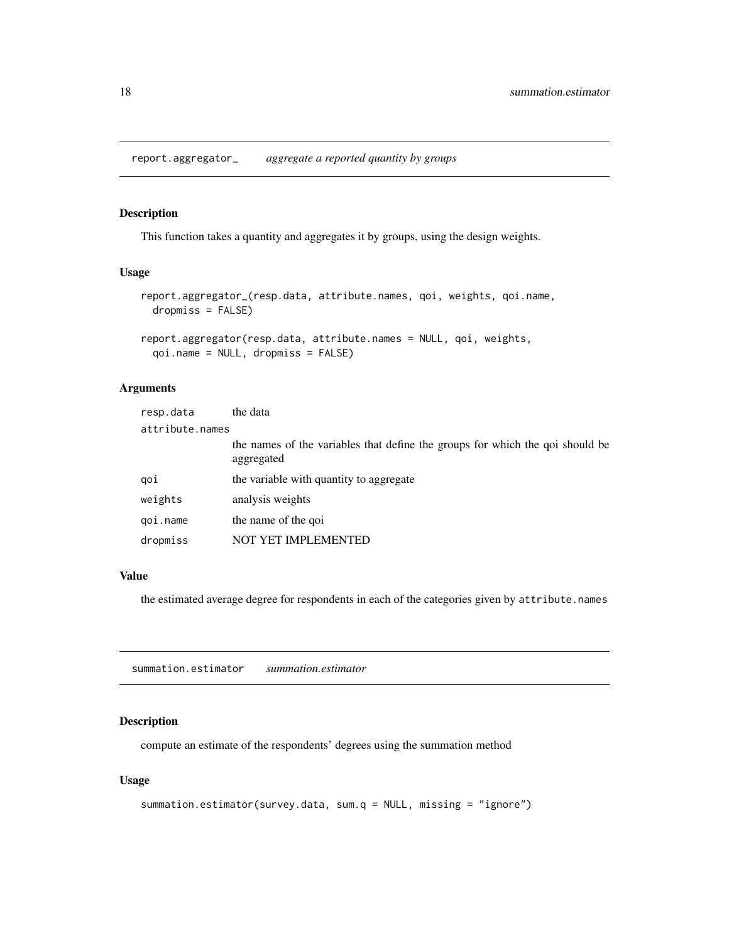<span id="page-17-0"></span>report.aggregator\_ *aggregate a reported quantity by groups*

#### <span id="page-17-1"></span>Description

This function takes a quantity and aggregates it by groups, using the design weights.

#### Usage

```
report.aggregator_(resp.data, attribute.names, qoi, weights, qoi.name,
 dropmiss = FALSE)
report.aggregator(resp.data, attribute.names = NULL, qoi, weights,
```

```
qoi.name = NULL, dropmiss = FALSE)
```
# Arguments

| resp.data       | the data                                                                                    |  |
|-----------------|---------------------------------------------------------------------------------------------|--|
| attribute.names |                                                                                             |  |
|                 | the names of the variables that define the groups for which the goi should be<br>aggregated |  |
| goi             | the variable with quantity to aggregate                                                     |  |
| weights         | analysis weights                                                                            |  |
| goi.name        | the name of the goi                                                                         |  |
| dropmiss        | NOT YET IMPLEMENTED                                                                         |  |

#### Value

the estimated average degree for respondents in each of the categories given by attribute.names

summation.estimator *summation.estimator*

#### Description

compute an estimate of the respondents' degrees using the summation method

#### Usage

```
summation.estimator(survey.data, sum.q = NULL, missing = "ignore")
```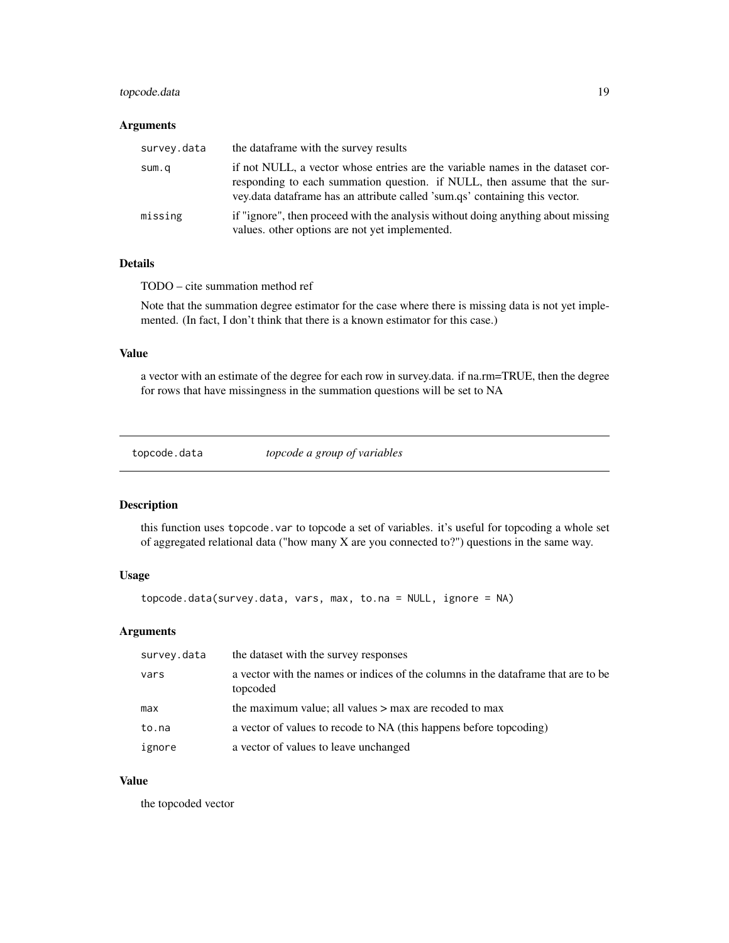### <span id="page-18-0"></span>topcode.data 19

#### Arguments

| survey.data | the data frame with the survey results                                                                                                                                                                                                      |
|-------------|---------------------------------------------------------------------------------------------------------------------------------------------------------------------------------------------------------------------------------------------|
| sum.q       | if not NULL, a vector whose entries are the variable names in the dataset cor-<br>responding to each summation question. if NULL, then assume that the sur-<br>vey data data frame has an attribute called 'sum qs' containing this vector. |
| missing     | if "ignore", then proceed with the analysis without doing anything about missing<br>values. other options are not yet implemented.                                                                                                          |

# Details

TODO – cite summation method ref

Note that the summation degree estimator for the case where there is missing data is not yet implemented. (In fact, I don't think that there is a known estimator for this case.)

#### Value

a vector with an estimate of the degree for each row in survey.data. if na.rm=TRUE, then the degree for rows that have missingness in the summation questions will be set to NA

topcode.data *topcode a group of variables*

#### Description

this function uses topcode.var to topcode a set of variables. it's useful for topcoding a whole set of aggregated relational data ("how many X are you connected to?") questions in the same way.

# Usage

```
topcode.data(survey.data, vars, max, to.na = NULL, ignore = NA)
```
#### Arguments

| survey.data | the dataset with the survey responses                                                          |
|-------------|------------------------------------------------------------------------------------------------|
| vars        | a vector with the names or indices of the columns in the data frame that are to be<br>topcoded |
| max         | the maximum value; all values $>$ max are recoded to max                                       |
| to.na       | a vector of values to recode to NA (this happens before topcoding)                             |
| ignore      | a vector of values to leave unchanged                                                          |

#### Value

the topcoded vector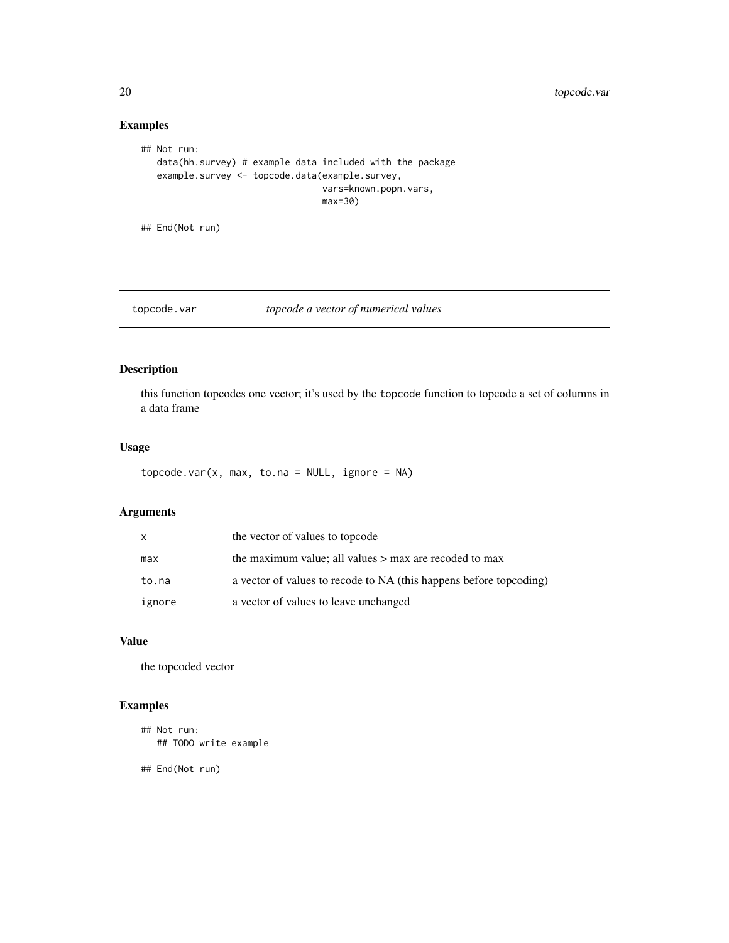# Examples

```
## Not run:
   data(hh.survey) # example data included with the package
   example.survey <- topcode.data(example.survey,
                                  vars=known.popn.vars,
                                  max=30)
```
## End(Not run)

```
topcode.var topcode a vector of numerical values
```
# Description

this function topcodes one vector; it's used by the topcode function to topcode a set of columns in a data frame

#### Usage

```
topcode.var(x, max, to.na = NULL, ignore = NA)
```
# Arguments

| $\mathsf{x}$ | the vector of values to topcode                                    |
|--------------|--------------------------------------------------------------------|
| max          | the maximum value; all values $>$ max are recoded to max           |
| to.na        | a vector of values to recode to NA (this happens before topcoding) |
| ignore       | a vector of values to leave unchanged                              |

# Value

the topcoded vector

# Examples

```
## Not run:
  ## TODO write example
```
## End(Not run)

<span id="page-19-0"></span>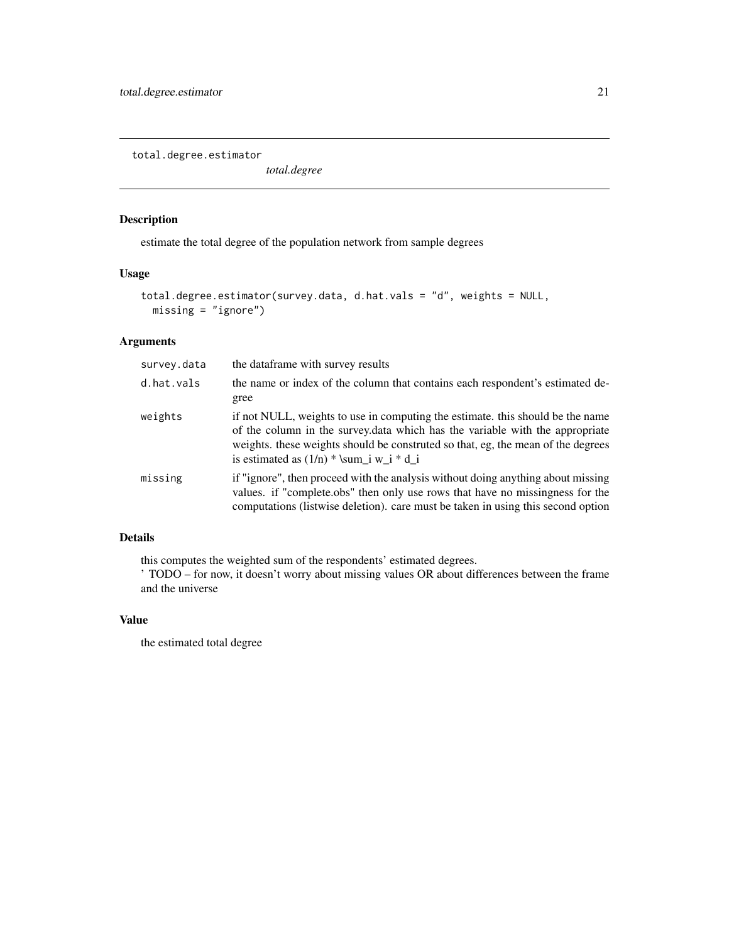<span id="page-20-0"></span>total.degree.estimator

*total.degree*

### Description

estimate the total degree of the population network from sample degrees

### Usage

```
total.degree.estimator(survey.data, d.hat.vals = "d", weights = NULL,
 missing = "ignore")
```
### Arguments

| survey.data | the dataframe with survey results                                                                                                                                                                                                                                                                |
|-------------|--------------------------------------------------------------------------------------------------------------------------------------------------------------------------------------------------------------------------------------------------------------------------------------------------|
| d.hat.vals  | the name or index of the column that contains each respondent's estimated de-<br>gree                                                                                                                                                                                                            |
| weights     | if not NULL, weights to use in computing the estimate. this should be the name<br>of the column in the survey.data which has the variable with the appropriate<br>weights, these weights should be construted so that, eg, the mean of the degrees<br>is estimated as $(1/n)$ * \sum_i w_i * d_i |
| missing     | if "ignore", then proceed with the analysis without doing anything about missing<br>values. if "complete.obs" then only use rows that have no missingness for the<br>computations (listwise deletion). care must be taken in using this second option                                            |

# Details

this computes the weighted sum of the respondents' estimated degrees.

' TODO – for now, it doesn't worry about missing values OR about differences between the frame and the universe

#### Value

the estimated total degree